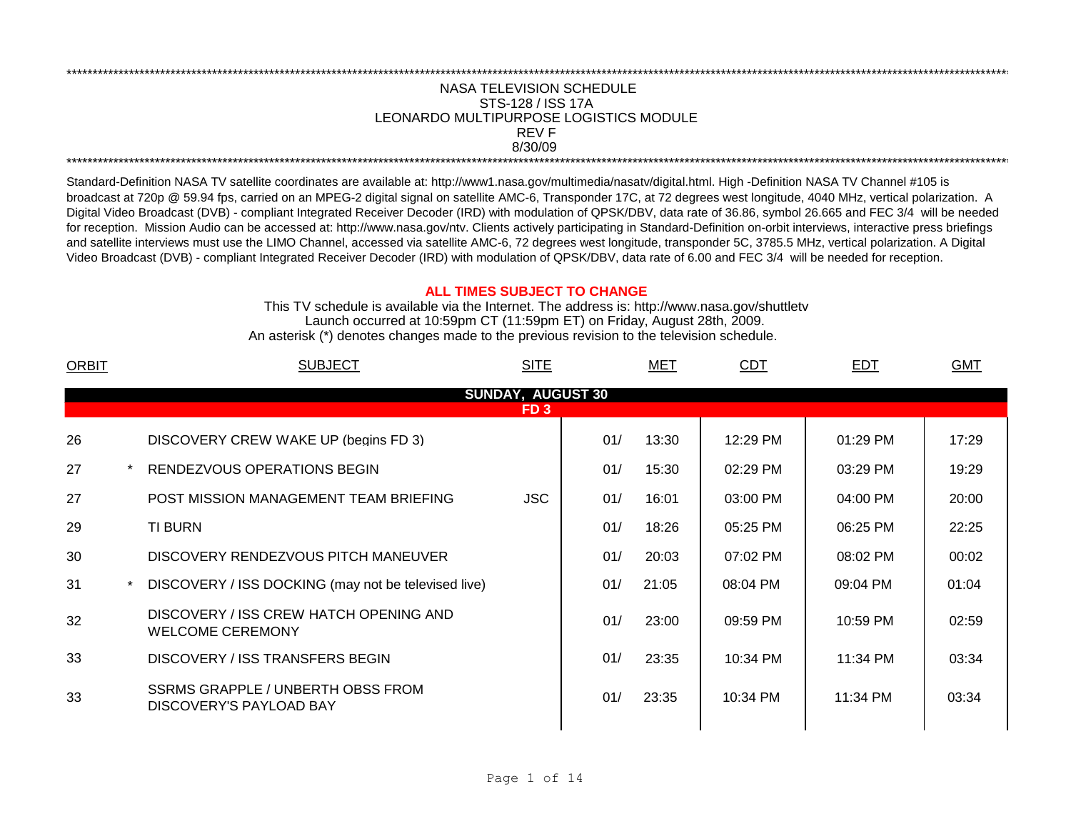## NASA TELEVISION SCHEDULE STS-128 / ISS 17A 8/30/09 \*\*\*\*\*\*\*\*\*\*\*\*\*\*\*\*\*\*\*\*\*\*\*\*\*\*\*\*\*\*\*\*\*\*\*\*\*\*\*\*\*\*\*\*\*\*\*\*\*\*\*\*\*\*\*\*\*\*\*\*\*\*\*\*\*\*\*\*\*\*\*\*\*\*\*\*\*\*\*\*\*\*\*\*\*\*\*\*\*\*\*\*\*\*\*\*\*\*\*\*\*\*\*\*\*\*\*\*\*\*\*\*\*\*\*\*\*\*\*\*\*\*\*\*\*\*\*\*\*\*\*\*\*\*\*\*\*\*\*\*\*\*\*\*\*\*\*\*\*\*\*\*\*\*\*\*\*\*\*\*\*\*\*\*\*\*\*\*\*\*\*\*\*\*\*\*\*\*\*\*\*\*\*\*\* REV F LEONARDO MULTIPURPOSE LOGISTICS MODULE

\*\*\*\*\*\*\*\*\*\*\*\*\*\*\*\*\*\*\*\*\*\*\*\*\*\*\*\*\*\*\*\*\*\*\*\*\*\*\*\*\*\*\*\*\*\*\*\*\*\*\*\*\*\*\*\*\*\*\*\*\*\*\*\*\*\*\*\*\*\*\*\*\*\*\*\*\*\*\*\*\*\*\*\*\*\*\*\*\*\*\*\*\*\*\*\*\*\*\*\*\*\*\*\*\*\*\*\*\*\*\*\*\*\*\*\*\*\*\*\*\*\*\*\*\*\*\*\*\*\*\*\*\*\*\*\*\*\*\*\*\*\*\*\*\*\*\*\*\*\*\*\*\*\*\*\*\*\*\*\*\*\*\*\*\*\*\*\*\*\*\*\*\*\*\*\*\*\*\*\*\*\*\*\*\*

Standard-Definition NASA TV satellite coordinates are available at: http://www1.nasa.gov/multimedia/nasatv/digital.html. High -Definition NASA TV Channel #105 is broadcast at 720p @ 59.94 fps, carried on an MPEG-2 digital signal on satellite AMC-6, Transponder 17C, at 72 degrees west longitude, 4040 MHz, vertical polarization. A Digital Video Broadcast (DVB) - compliant Integrated Receiver Decoder (IRD) with modulation of QPSK/DBV, data rate of 36.86, symbol 26.665 and FEC 3/4 will be needed for reception. Mission Audio can be accessed at: http://www.nasa.gov/ntv. Clients actively participating in Standard-Definition on-orbit interviews, interactive press briefings and satellite interviews must use the LIMO Channel, accessed via satellite AMC-6, 72 degrees west longitude, transponder 5C, 3785.5 MHz, vertical polarization. A Digital Video Broadcast (DVB) - compliant Integrated Receiver Decoder (IRD) with modulation of QPSK/DBV, data rate of 6.00 and FEC 3/4 will be needed for reception.

## **ALL TIMES SUBJECT TO CHANGE**

Launch occurred at 10:59pm CT (11:59pm ET) on Friday, August 28th, 2009. An asterisk (\*) denotes changes made to the previous revision to the television schedule. This TV schedule is available via the Internet. The address is: http://www.nasa.gov/shuttletv

| <b>SUBJECT</b>                                                    | <b>SITE</b> |     | MET   | <b>CDT</b> | <b>EDT</b> | <b>GMT</b> |  |  |  |  |  |  |
|-------------------------------------------------------------------|-------------|-----|-------|------------|------------|------------|--|--|--|--|--|--|
| <b>SUNDAY, AUGUST 30</b>                                          |             |     |       |            |            |            |  |  |  |  |  |  |
| FD <sub>3</sub>                                                   |             |     |       |            |            |            |  |  |  |  |  |  |
| DISCOVERY CREW WAKE UP (begins FD 3)                              |             | 01/ | 13:30 | 12:29 PM   | $01:29$ PM | 17:29      |  |  |  |  |  |  |
| RENDEZVOUS OPERATIONS BEGIN                                       |             | 01/ | 15:30 | 02:29 PM   | 03:29 PM   | 19:29      |  |  |  |  |  |  |
| POST MISSION MANAGEMENT TEAM BRIEFING                             | <b>JSC</b>  | 01/ | 16:01 | 03:00 PM   | 04:00 PM   | 20:00      |  |  |  |  |  |  |
| TI BURN                                                           |             | 01/ | 18:26 | 05:25 PM   | 06:25 PM   | 22:25      |  |  |  |  |  |  |
| DISCOVERY RENDEZVOUS PITCH MANEUVER                               |             | 01/ | 20:03 | 07:02 PM   | 08:02 PM   | 00:02      |  |  |  |  |  |  |
| DISCOVERY / ISS DOCKING (may not be televised live)               |             | 01/ | 21:05 | 08:04 PM   | 09:04 PM   | 01:04      |  |  |  |  |  |  |
| DISCOVERY / ISS CREW HATCH OPENING AND<br><b>WELCOME CEREMONY</b> |             | 01/ | 23:00 | 09:59 PM   | 10:59 PM   | 02:59      |  |  |  |  |  |  |
| DISCOVERY / ISS TRANSFERS BEGIN                                   |             | 01/ | 23:35 | 10:34 PM   | 11:34 PM   | 03:34      |  |  |  |  |  |  |
| SSRMS GRAPPLE / UNBERTH OBSS FROM<br>DISCOVERY'S PAYLOAD BAY      |             | 01/ | 23:35 | 10:34 PM   | 11:34 PM   | 03:34      |  |  |  |  |  |  |
|                                                                   |             |     |       |            |            |            |  |  |  |  |  |  |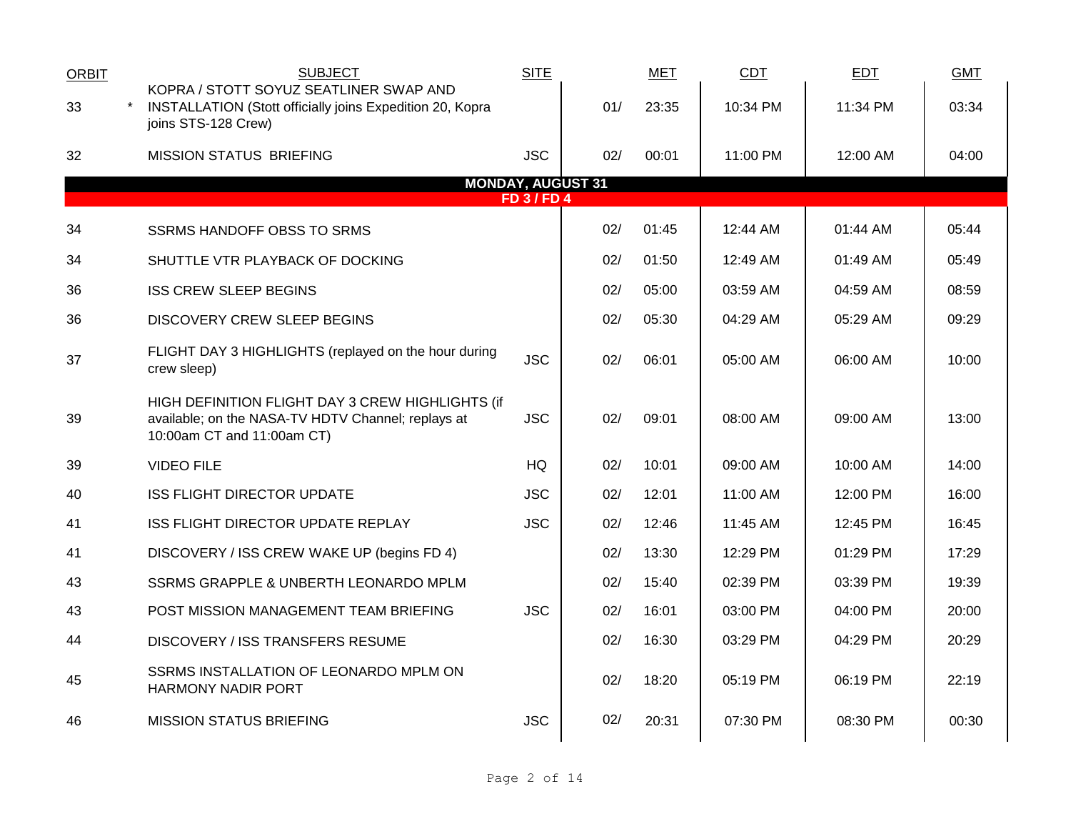| ORBIT                                        | <b>SUBJECT</b>                                                                                                                       | <b>SITE</b> |     | <b>MET</b> | <b>CDT</b> | <b>EDT</b> | <b>GMT</b> |  |  |  |  |  |  |
|----------------------------------------------|--------------------------------------------------------------------------------------------------------------------------------------|-------------|-----|------------|------------|------------|------------|--|--|--|--|--|--|
| 33                                           | KOPRA / STOTT SOYUZ SEATLINER SWAP AND<br><b>INSTALLATION (Stott officially joins Expedition 20, Kopra</b><br>joins STS-128 Crew)    |             | 01/ | 23:35      | 10:34 PM   | 11:34 PM   | 03:34      |  |  |  |  |  |  |
| 32                                           | <b>MISSION STATUS BRIEFING</b>                                                                                                       | <b>JSC</b>  | 02/ | 00:01      | 11:00 PM   | 12:00 AM   | 04:00      |  |  |  |  |  |  |
| <b>MONDAY, AUGUST 31</b><br><b>FD 3/FD 4</b> |                                                                                                                                      |             |     |            |            |            |            |  |  |  |  |  |  |
| 34                                           | <b>SSRMS HANDOFF OBSS TO SRMS</b>                                                                                                    |             | 02/ | 01:45      | 12:44 AM   | 01:44 AM   | 05:44      |  |  |  |  |  |  |
| 34                                           | SHUTTLE VTR PLAYBACK OF DOCKING                                                                                                      |             | 02/ | 01:50      | 12:49 AM   | 01:49 AM   | 05:49      |  |  |  |  |  |  |
| 36                                           | <b>ISS CREW SLEEP BEGINS</b>                                                                                                         |             | 02/ | 05:00      | 03:59 AM   | 04:59 AM   | 08:59      |  |  |  |  |  |  |
| 36                                           | DISCOVERY CREW SLEEP BEGINS                                                                                                          |             | 02/ | 05:30      | 04:29 AM   | 05:29 AM   | 09:29      |  |  |  |  |  |  |
| 37                                           | FLIGHT DAY 3 HIGHLIGHTS (replayed on the hour during<br>crew sleep)                                                                  | <b>JSC</b>  | 02/ | 06:01      | 05:00 AM   | 06:00 AM   | 10:00      |  |  |  |  |  |  |
| 39                                           | HIGH DEFINITION FLIGHT DAY 3 CREW HIGHLIGHTS (if<br>available; on the NASA-TV HDTV Channel; replays at<br>10:00am CT and 11:00am CT) | <b>JSC</b>  | 02/ | 09:01      | 08:00 AM   | 09:00 AM   | 13:00      |  |  |  |  |  |  |
| 39                                           | <b>VIDEO FILE</b>                                                                                                                    | <b>HQ</b>   | 02/ | 10:01      | 09:00 AM   | 10:00 AM   | 14:00      |  |  |  |  |  |  |
| 40                                           | <b>ISS FLIGHT DIRECTOR UPDATE</b>                                                                                                    | <b>JSC</b>  | 02/ | 12:01      | 11:00 AM   | 12:00 PM   | 16:00      |  |  |  |  |  |  |
| 41                                           | ISS FLIGHT DIRECTOR UPDATE REPLAY                                                                                                    | <b>JSC</b>  | 02/ | 12:46      | 11:45 AM   | 12:45 PM   | 16:45      |  |  |  |  |  |  |
| 41                                           | DISCOVERY / ISS CREW WAKE UP (begins FD 4)                                                                                           |             | 02/ | 13:30      | 12:29 PM   | $01:29$ PM | 17:29      |  |  |  |  |  |  |
| 43                                           | SSRMS GRAPPLE & UNBERTH LEONARDO MPLM                                                                                                |             | 02/ | 15:40      | 02:39 PM   | 03:39 PM   | 19:39      |  |  |  |  |  |  |
| 43                                           | POST MISSION MANAGEMENT TEAM BRIEFING                                                                                                | <b>JSC</b>  | 02/ | 16:01      | 03:00 PM   | 04:00 PM   | 20:00      |  |  |  |  |  |  |
| 44                                           | DISCOVERY / ISS TRANSFERS RESUME                                                                                                     |             | 02/ | 16:30      | 03:29 PM   | 04:29 PM   | 20:29      |  |  |  |  |  |  |
| 45                                           | SSRMS INSTALLATION OF LEONARDO MPLM ON<br><b>HARMONY NADIR PORT</b>                                                                  |             | 02/ | 18:20      | 05:19 PM   | 06:19 PM   | 22:19      |  |  |  |  |  |  |
| 46                                           | <b>MISSION STATUS BRIEFING</b>                                                                                                       | <b>JSC</b>  | 02/ | 20:31      | 07:30 PM   | 08:30 PM   | 00:30      |  |  |  |  |  |  |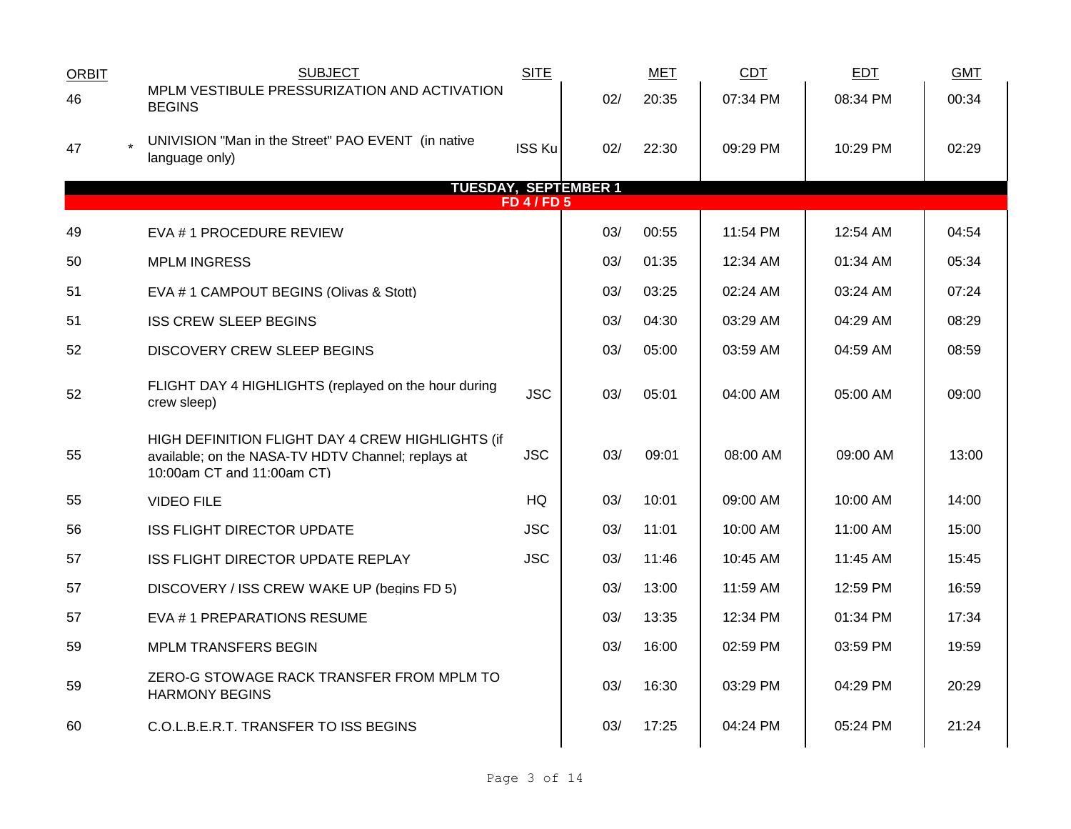| <b>ORBIT</b>     | <b>SUBJECT</b>                                                                                                                       | <b>SITE</b>   |     | <b>MET</b> | CDT      | EDT      | <b>GMT</b> |  |  |  |  |
|------------------|--------------------------------------------------------------------------------------------------------------------------------------|---------------|-----|------------|----------|----------|------------|--|--|--|--|
| 46               | MPLM VESTIBULE PRESSURIZATION AND ACTIVATION<br><b>BEGINS</b>                                                                        |               | 02/ | 20:35      | 07:34 PM | 08:34 PM | 00:34      |  |  |  |  |
| 47               | UNIVISION "Man in the Street" PAO EVENT (in native<br>language only)                                                                 | <b>ISS Ku</b> | 02/ | 22:30      | 09:29 PM | 10:29 PM | 02:29      |  |  |  |  |
|                  | <b>TUESDAY, SEPTEMBER 1</b>                                                                                                          |               |     |            |          |          |            |  |  |  |  |
| <b>FD 4/FD 5</b> |                                                                                                                                      |               |     |            |          |          |            |  |  |  |  |
| 49               | EVA # 1 PROCEDURE REVIEW                                                                                                             |               | 03/ | 00:55      | 11:54 PM | 12:54 AM | 04:54      |  |  |  |  |
| 50               | <b>MPLM INGRESS</b>                                                                                                                  |               | 03/ | 01:35      | 12:34 AM | 01:34 AM | 05:34      |  |  |  |  |
| 51               | EVA # 1 CAMPOUT BEGINS (Olivas & Stott)                                                                                              |               | 03/ | 03:25      | 02:24 AM | 03:24 AM | 07:24      |  |  |  |  |
| 51               | <b>ISS CREW SLEEP BEGINS</b>                                                                                                         |               | 03/ | 04:30      | 03:29 AM | 04:29 AM | 08:29      |  |  |  |  |
| 52               | DISCOVERY CREW SLEEP BEGINS                                                                                                          |               | 03/ | 05:00      | 03:59 AM | 04:59 AM | 08:59      |  |  |  |  |
| 52               | FLIGHT DAY 4 HIGHLIGHTS (replayed on the hour during<br>crew sleep)                                                                  | <b>JSC</b>    | 03/ | 05:01      | 04:00 AM | 05:00 AM | 09:00      |  |  |  |  |
| 55               | HIGH DEFINITION FLIGHT DAY 4 CREW HIGHLIGHTS (if<br>available; on the NASA-TV HDTV Channel; replays at<br>10:00am CT and 11:00am CT) | <b>JSC</b>    | 03/ | 09:01      | 08:00 AM | 09:00 AM | 13:00      |  |  |  |  |
| 55               | <b>VIDEO FILE</b>                                                                                                                    | HQ            | 03/ | 10:01      | 09:00 AM | 10:00 AM | 14:00      |  |  |  |  |
| 56               | <b>ISS FLIGHT DIRECTOR UPDATE</b>                                                                                                    | <b>JSC</b>    | 03/ | 11:01      | 10:00 AM | 11:00 AM | 15:00      |  |  |  |  |
| 57               | ISS FLIGHT DIRECTOR UPDATE REPLAY                                                                                                    | <b>JSC</b>    | 03/ | 11:46      | 10:45 AM | 11:45 AM | 15:45      |  |  |  |  |
| 57               | DISCOVERY / ISS CREW WAKE UP (begins FD 5)                                                                                           |               | 03/ | 13:00      | 11:59 AM | 12:59 PM | 16:59      |  |  |  |  |
| 57               | EVA #1 PREPARATIONS RESUME                                                                                                           |               | 03/ | 13:35      | 12:34 PM | 01:34 PM | 17:34      |  |  |  |  |
| 59               | <b>MPLM TRANSFERS BEGIN</b>                                                                                                          |               | 03/ | 16:00      | 02:59 PM | 03:59 PM | 19:59      |  |  |  |  |
| 59               | ZERO-G STOWAGE RACK TRANSFER FROM MPLM TO<br><b>HARMONY BEGINS</b>                                                                   |               | 03/ | 16:30      | 03:29 PM | 04:29 PM | 20:29      |  |  |  |  |
| 60               | C.O.L.B.E.R.T. TRANSFER TO ISS BEGINS                                                                                                |               | 03/ | 17:25      | 04:24 PM | 05:24 PM | 21:24      |  |  |  |  |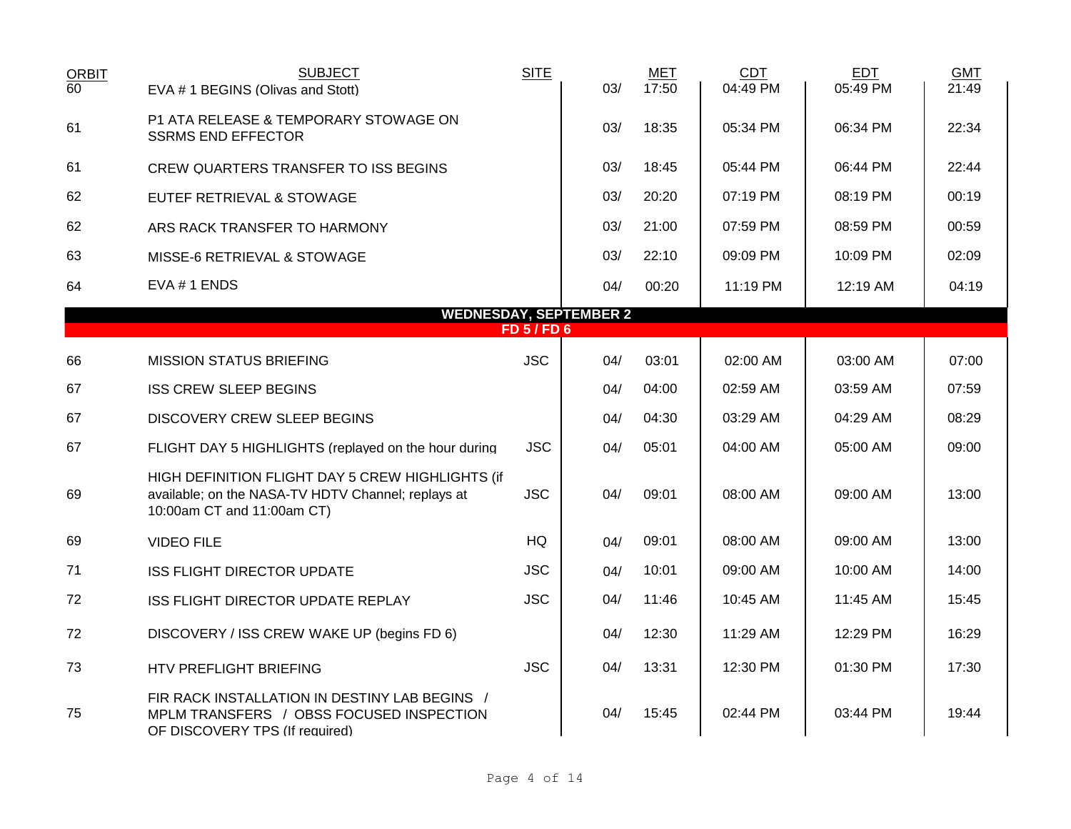| <b>ORBIT</b><br>$\overline{60}$ | <b>SUBJECT</b><br>EVA # 1 BEGINS (Olivas and Stott)                                                                                  | <b>SITE</b>      | 03/ | <b>MET</b><br>17:50 | <b>CDT</b><br>04:49 PM | <b>EDT</b><br>05:49 PM | <b>GMT</b><br>21:49 |
|---------------------------------|--------------------------------------------------------------------------------------------------------------------------------------|------------------|-----|---------------------|------------------------|------------------------|---------------------|
| 61                              | P1 ATA RELEASE & TEMPORARY STOWAGE ON<br><b>SSRMS END EFFECTOR</b>                                                                   |                  | 03/ | 18:35               | 05:34 PM               | 06:34 PM               | 22:34               |
| 61                              | CREW QUARTERS TRANSFER TO ISS BEGINS                                                                                                 |                  | 03/ | 18:45               | 05:44 PM               | 06:44 PM               | 22:44               |
| 62                              | EUTEF RETRIEVAL & STOWAGE                                                                                                            |                  | 03/ | 20:20               | 07:19 PM               | 08:19 PM               | 00:19               |
| 62                              | ARS RACK TRANSFER TO HARMONY                                                                                                         |                  | 03/ | 21:00               | 07:59 PM               | 08:59 PM               | 00:59               |
| 63                              | MISSE-6 RETRIEVAL & STOWAGE                                                                                                          |                  | 03/ | 22:10               | 09:09 PM               | 10:09 PM               | 02:09               |
| 64                              | $EVA # 1$ ENDS                                                                                                                       |                  | 04/ | 00:20               | 11:19 PM               | 12:19 AM               | 04:19               |
|                                 | <b>WEDNESDAY, SEPTEMBER 2</b>                                                                                                        | <b>FD 5/FD 6</b> |     |                     |                        |                        |                     |
|                                 |                                                                                                                                      |                  |     |                     |                        |                        |                     |
| 66                              | <b>MISSION STATUS BRIEFING</b>                                                                                                       | <b>JSC</b>       | 04/ | 03:01               | 02:00 AM               | 03:00 AM               | 07:00               |
| 67                              | <b>ISS CREW SLEEP BEGINS</b>                                                                                                         |                  | 04/ | 04:00               | 02:59 AM               | 03:59 AM               | 07:59               |
| 67                              | <b>DISCOVERY CREW SLEEP BEGINS</b>                                                                                                   |                  | 04/ | 04:30               | 03:29 AM               | 04:29 AM               | 08:29               |
| 67                              | FLIGHT DAY 5 HIGHLIGHTS (replayed on the hour during                                                                                 | <b>JSC</b>       | 04/ | 05:01               | 04:00 AM               | 05:00 AM               | 09:00               |
| 69                              | HIGH DEFINITION FLIGHT DAY 5 CREW HIGHLIGHTS (if<br>available; on the NASA-TV HDTV Channel; replays at<br>10:00am CT and 11:00am CT) | <b>JSC</b>       | 04/ | 09:01               | 08:00 AM               | 09:00 AM               | 13:00               |
| 69                              | <b>VIDEO FILE</b>                                                                                                                    | HQ               | 04/ | 09:01               | 08:00 AM               | 09:00 AM               | 13:00               |
| 71                              | <b>ISS FLIGHT DIRECTOR UPDATE</b>                                                                                                    | <b>JSC</b>       | 04/ | 10:01               | 09:00 AM               | 10:00 AM               | 14:00               |
| 72                              | ISS FLIGHT DIRECTOR UPDATE REPLAY                                                                                                    | <b>JSC</b>       | 04/ | 11:46               | 10:45 AM               | 11:45 AM               | 15:45               |
| 72                              | DISCOVERY / ISS CREW WAKE UP (begins FD 6)                                                                                           |                  | 04/ | 12:30               | 11:29 AM               | 12:29 PM               | 16:29               |
| 73                              | HTV PREFLIGHT BRIEFING                                                                                                               | <b>JSC</b>       | 04/ | 13:31               | 12:30 PM               | 01:30 PM               | 17:30               |
| 75                              | FIR RACK INSTALLATION IN DESTINY LAB BEGINS /<br>MPLM TRANSFERS / OBSS FOCUSED INSPECTION<br>OF DISCOVERY TPS (If required)          |                  | 04/ | 15:45               | 02:44 PM               | 03:44 PM               | 19:44               |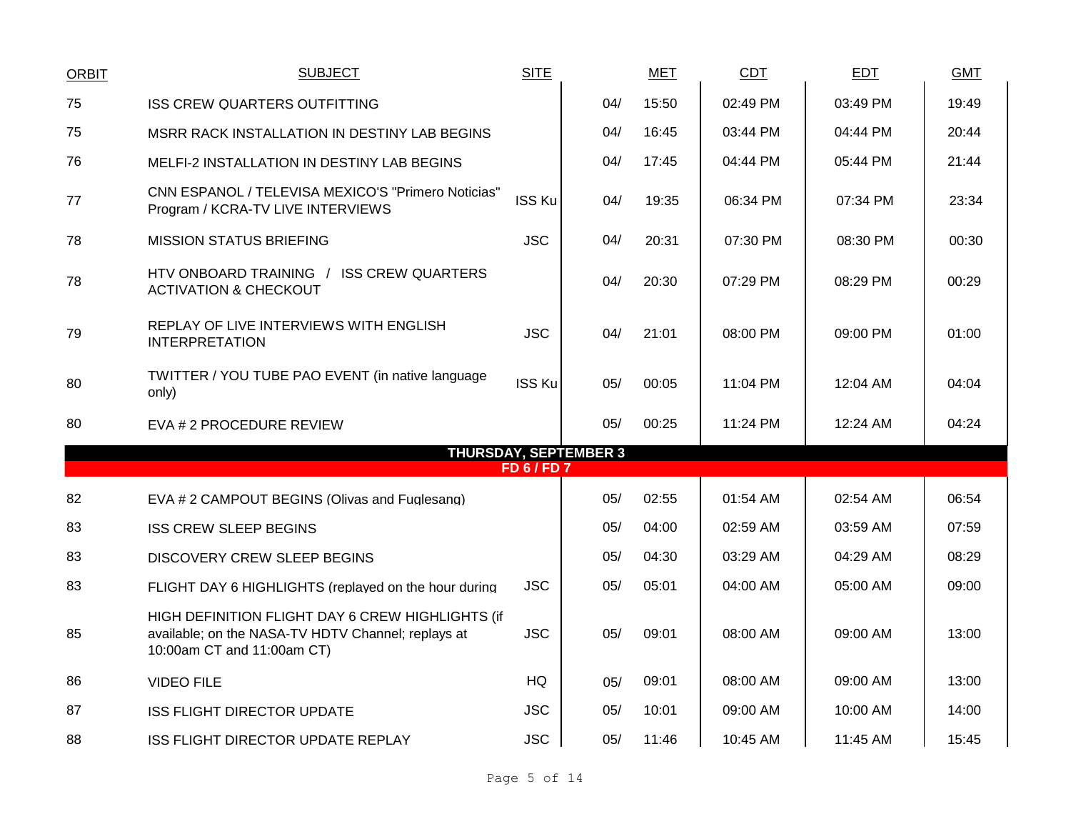| <b>ORBIT</b> | <b>SUBJECT</b>                                                                                                                       | <b>SITE</b>        |                              | <b>MET</b> | <b>CDT</b> | <b>EDT</b> | <b>GMT</b> |
|--------------|--------------------------------------------------------------------------------------------------------------------------------------|--------------------|------------------------------|------------|------------|------------|------------|
| 75           | <b>ISS CREW QUARTERS OUTFITTING</b>                                                                                                  |                    | 04/                          | 15:50      | 02:49 PM   | 03:49 PM   | 19:49      |
| 75           | MSRR RACK INSTALLATION IN DESTINY LAB BEGINS                                                                                         |                    | 04/                          | 16:45      | 03:44 PM   | 04:44 PM   | 20:44      |
| 76           | <b>MELFI-2 INSTALLATION IN DESTINY LAB BEGINS</b>                                                                                    |                    | 04/                          | 17:45      | 04:44 PM   | 05:44 PM   | 21:44      |
| 77           | CNN ESPANOL / TELEVISA MEXICO'S "Primero Noticias"<br>Program / KCRA-TV LIVE INTERVIEWS                                              | <b>ISS Ku</b>      | 04/                          | 19:35      | 06:34 PM   | 07:34 PM   | 23:34      |
| 78           | <b>MISSION STATUS BRIEFING</b>                                                                                                       | <b>JSC</b>         | 04/                          | 20:31      | 07:30 PM   | 08:30 PM   | 00:30      |
| 78           | HTV ONBOARD TRAINING / ISS CREW QUARTERS<br><b>ACTIVATION &amp; CHECKOUT</b>                                                         |                    | 04/                          | 20:30      | 07:29 PM   | 08:29 PM   | 00:29      |
| 79           | REPLAY OF LIVE INTERVIEWS WITH ENGLISH<br><b>INTERPRETATION</b>                                                                      | <b>JSC</b>         | 04/                          | 21:01      | 08:00 PM   | 09:00 PM   | 01:00      |
| 80           | TWITTER / YOU TUBE PAO EVENT (in native language<br>only)                                                                            | <b>ISS Ku</b>      | 05/                          | 00:05      | 11:04 PM   | 12:04 AM   | 04:04      |
| 80           | EVA # 2 PROCEDURE REVIEW                                                                                                             |                    | 05/                          | 00:25      | 11:24 PM   | 12:24 AM   | 04:24      |
|              |                                                                                                                                      | <b>FD 6 / FD 7</b> | <b>THURSDAY, SEPTEMBER 3</b> |            |            |            |            |
|              |                                                                                                                                      |                    |                              |            |            |            |            |
| 82           | EVA # 2 CAMPOUT BEGINS (Olivas and Fuglesang)                                                                                        |                    | 05/                          | 02:55      | 01:54 AM   | 02:54 AM   | 06:54      |
| 83           | <b>ISS CREW SLEEP BEGINS</b>                                                                                                         |                    | 05/                          | 04:00      | 02:59 AM   | 03:59 AM   | 07:59      |
| 83           | DISCOVERY CREW SLEEP BEGINS                                                                                                          |                    | 05/                          | 04:30      | 03:29 AM   | 04:29 AM   | 08:29      |
| 83           | FLIGHT DAY 6 HIGHLIGHTS (replayed on the hour during                                                                                 | <b>JSC</b>         | 05/                          | 05:01      | 04:00 AM   | 05:00 AM   | 09:00      |
| 85           | HIGH DEFINITION FLIGHT DAY 6 CREW HIGHLIGHTS (if<br>available; on the NASA-TV HDTV Channel; replays at<br>10:00am CT and 11:00am CT) | <b>JSC</b>         | 05/                          | 09:01      | 08:00 AM   | 09:00 AM   | 13:00      |
| 86           | <b>VIDEO FILE</b>                                                                                                                    | <b>HQ</b>          | 05/                          | 09:01      | 08:00 AM   | 09:00 AM   | 13:00      |
| 87           | <b>ISS FLIGHT DIRECTOR UPDATE</b>                                                                                                    | <b>JSC</b>         | 05/                          | 10:01      | 09:00 AM   | 10:00 AM   | 14:00      |
| 88           | ISS FLIGHT DIRECTOR UPDATE REPLAY                                                                                                    | <b>JSC</b>         | 05/                          | 11:46      | 10:45 AM   | 11:45 AM   | 15:45      |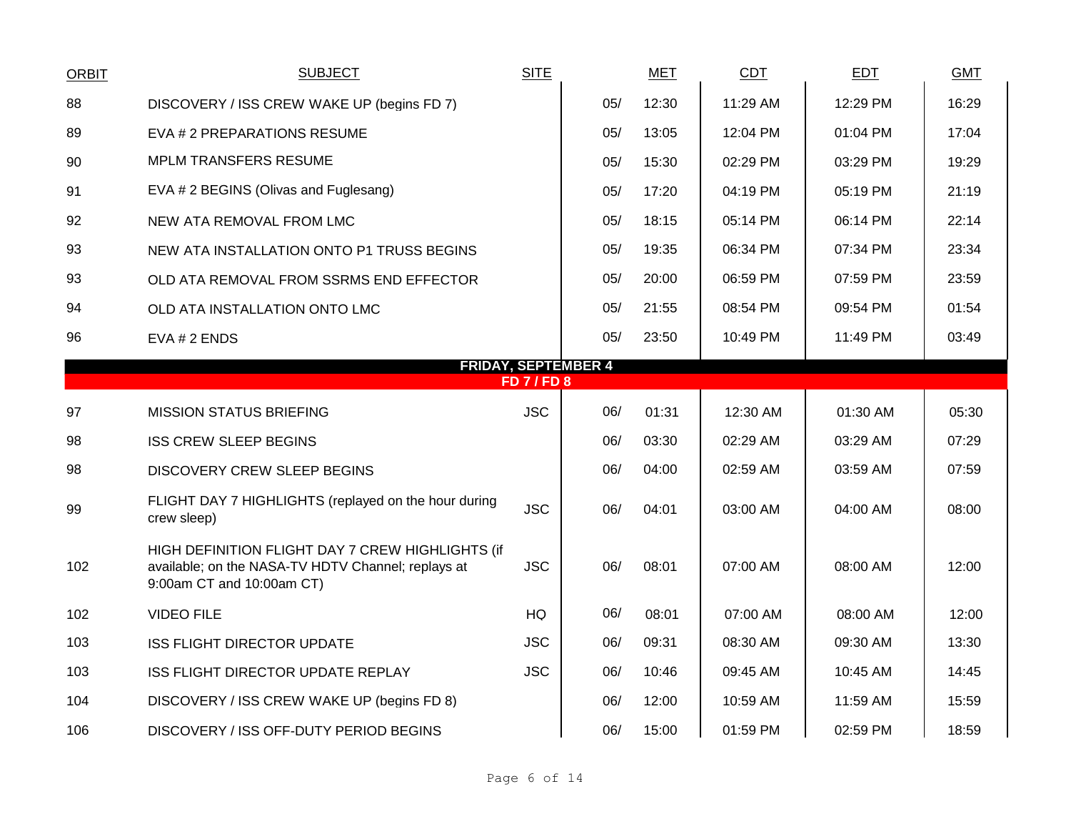| <b>ORBIT</b>                                 | <b>SUBJECT</b>                                                                                                                      | <b>SITE</b> |     | <b>MET</b> | <b>CDT</b> | <b>EDT</b> | <b>GMT</b> |  |  |  |  |
|----------------------------------------------|-------------------------------------------------------------------------------------------------------------------------------------|-------------|-----|------------|------------|------------|------------|--|--|--|--|
| 88                                           | DISCOVERY / ISS CREW WAKE UP (begins FD 7)                                                                                          |             | 05/ | 12:30      | 11:29 AM   | 12:29 PM   | 16:29      |  |  |  |  |
| 89                                           | EVA # 2 PREPARATIONS RESUME                                                                                                         |             | 05/ | 13:05      | 12:04 PM   | 01:04 PM   | 17:04      |  |  |  |  |
| 90                                           | <b>MPLM TRANSFERS RESUME</b>                                                                                                        |             | 05/ | 15:30      | 02:29 PM   | 03:29 PM   | 19:29      |  |  |  |  |
| 91                                           | EVA # 2 BEGINS (Olivas and Fuglesang)                                                                                               |             | 05/ | 17:20      | 04:19 PM   | 05:19 PM   | 21:19      |  |  |  |  |
| 92                                           | NEW ATA REMOVAL FROM LMC                                                                                                            |             | 05/ | 18:15      | 05:14 PM   | 06:14 PM   | 22:14      |  |  |  |  |
| 93                                           | NEW ATA INSTALLATION ONTO P1 TRUSS BEGINS                                                                                           |             | 05/ | 19:35      | 06:34 PM   | 07:34 PM   | 23:34      |  |  |  |  |
| 93                                           | OLD ATA REMOVAL FROM SSRMS END EFFECTOR                                                                                             |             | 05/ | 20:00      | 06:59 PM   | 07:59 PM   | 23:59      |  |  |  |  |
| 94                                           | OLD ATA INSTALLATION ONTO LMC                                                                                                       |             | 05/ | 21:55      | 08:54 PM   | 09:54 PM   | 01:54      |  |  |  |  |
| 96                                           | EVA # 2 ENDS                                                                                                                        |             | 05/ | 23:50      | 10:49 PM   | 11:49 PM   | 03:49      |  |  |  |  |
| <b>FRIDAY, SEPTEMBER 4</b><br><b>FD7/FD8</b> |                                                                                                                                     |             |     |            |            |            |            |  |  |  |  |
| 97                                           | <b>MISSION STATUS BRIEFING</b>                                                                                                      | <b>JSC</b>  | 06/ | 01:31      | 12:30 AM   | 01:30 AM   | 05:30      |  |  |  |  |
| 98                                           | <b>ISS CREW SLEEP BEGINS</b>                                                                                                        |             | 06/ | 03:30      | 02:29 AM   | 03:29 AM   | 07:29      |  |  |  |  |
| 98                                           | DISCOVERY CREW SLEEP BEGINS                                                                                                         |             | 06/ | 04:00      | 02:59 AM   | 03:59 AM   | 07:59      |  |  |  |  |
| 99                                           | FLIGHT DAY 7 HIGHLIGHTS (replayed on the hour during<br>crew sleep)                                                                 | <b>JSC</b>  | 06/ | 04:01      | 03:00 AM   | 04:00 AM   | 08:00      |  |  |  |  |
| 102                                          | HIGH DEFINITION FLIGHT DAY 7 CREW HIGHLIGHTS (if<br>available; on the NASA-TV HDTV Channel; replays at<br>9:00am CT and 10:00am CT) | <b>JSC</b>  | 06/ | 08:01      | 07:00 AM   | 08:00 AM   | 12:00      |  |  |  |  |
| 102                                          | <b>VIDEO FILE</b>                                                                                                                   | HQ          | 06/ | 08:01      | 07:00 AM   | 08:00 AM   | 12:00      |  |  |  |  |
| 103                                          | <b>ISS FLIGHT DIRECTOR UPDATE</b>                                                                                                   | <b>JSC</b>  | 06/ | 09:31      | 08:30 AM   | 09:30 AM   | 13:30      |  |  |  |  |
| 103                                          | ISS FLIGHT DIRECTOR UPDATE REPLAY                                                                                                   | <b>JSC</b>  | 06/ | 10:46      | 09:45 AM   | 10:45 AM   | 14:45      |  |  |  |  |
| 104                                          | DISCOVERY / ISS CREW WAKE UP (begins FD 8)                                                                                          |             | 06/ | 12:00      | 10:59 AM   | 11:59 AM   | 15:59      |  |  |  |  |
| 106                                          | DISCOVERY / ISS OFF-DUTY PERIOD BEGINS                                                                                              |             | 06/ | 15:00      | 01:59 PM   | 02:59 PM   | 18:59      |  |  |  |  |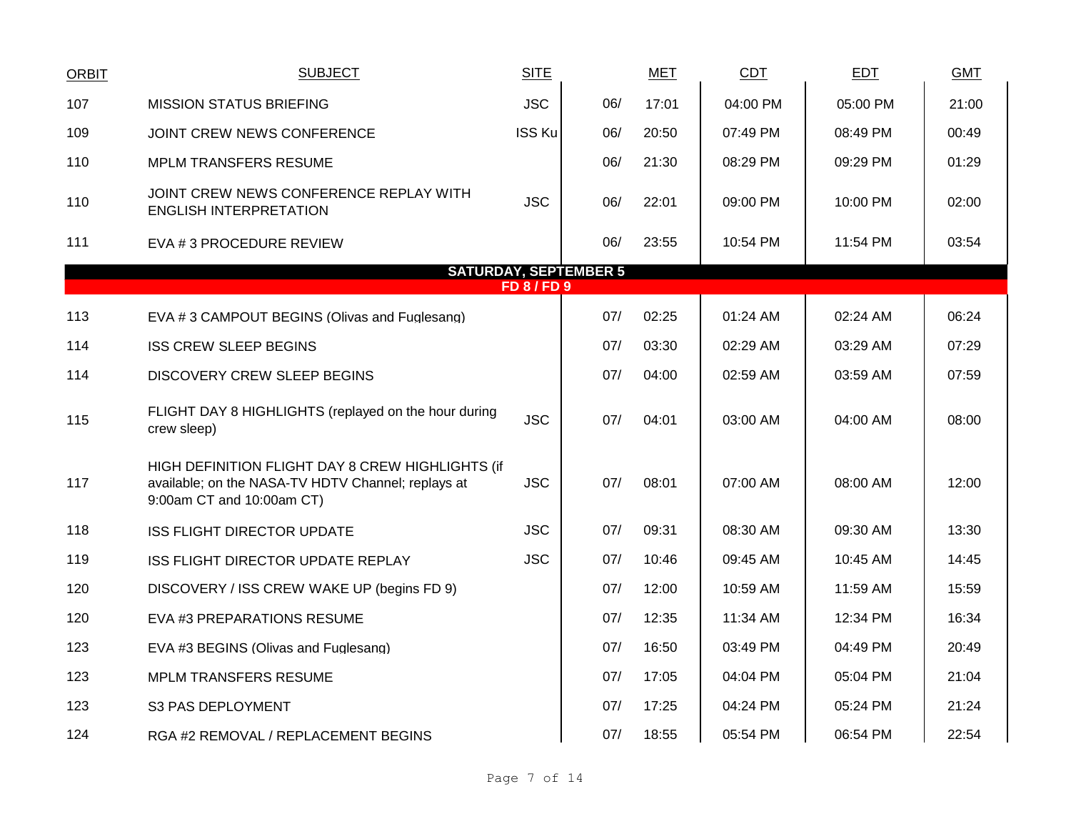| <b>ORBIT</b> | <b>SUBJECT</b>                                                                                                                      | <b>SITE</b>      |     | <b>MET</b> | <b>CDT</b> | <b>EDT</b> | <b>GMT</b> |  |  |  |  |  |  |
|--------------|-------------------------------------------------------------------------------------------------------------------------------------|------------------|-----|------------|------------|------------|------------|--|--|--|--|--|--|
| 107          | <b>MISSION STATUS BRIEFING</b>                                                                                                      | <b>JSC</b>       | 06/ | 17:01      | 04:00 PM   | 05:00 PM   | 21:00      |  |  |  |  |  |  |
| 109          | JOINT CREW NEWS CONFERENCE                                                                                                          | <b>ISS Ku</b>    | 06/ | 20:50      | 07:49 PM   | 08:49 PM   | 00:49      |  |  |  |  |  |  |
| 110          | <b>MPLM TRANSFERS RESUME</b>                                                                                                        |                  | 06/ | 21:30      | 08:29 PM   | 09:29 PM   | 01:29      |  |  |  |  |  |  |
| 110          | JOINT CREW NEWS CONFERENCE REPLAY WITH<br><b>ENGLISH INTERPRETATION</b>                                                             | <b>JSC</b>       | 06/ | 22:01      | 09:00 PM   | 10:00 PM   | 02:00      |  |  |  |  |  |  |
| 111          | EVA # 3 PROCEDURE REVIEW                                                                                                            |                  | 06/ | 23:55      | 10:54 PM   | 11:54 PM   | 03:54      |  |  |  |  |  |  |
|              | <b>SATURDAY, SEPTEMBER 5</b>                                                                                                        |                  |     |            |            |            |            |  |  |  |  |  |  |
|              |                                                                                                                                     | <b>FD 8/FD 9</b> |     |            |            |            |            |  |  |  |  |  |  |
| 113          | EVA #3 CAMPOUT BEGINS (Olivas and Fuglesang)                                                                                        |                  | 07/ | 02:25      | 01:24 AM   | 02:24 AM   | 06:24      |  |  |  |  |  |  |
| 114          | <b>ISS CREW SLEEP BEGINS</b>                                                                                                        |                  | 07/ | 03:30      | 02:29 AM   | 03:29 AM   | 07:29      |  |  |  |  |  |  |
| 114          | <b>DISCOVERY CREW SLEEP BEGINS</b>                                                                                                  |                  | 07/ | 04:00      | 02:59 AM   | 03:59 AM   | 07:59      |  |  |  |  |  |  |
| 115          | FLIGHT DAY 8 HIGHLIGHTS (replayed on the hour during<br>crew sleep)                                                                 | <b>JSC</b>       | 07/ | 04:01      | 03:00 AM   | 04:00 AM   | 08:00      |  |  |  |  |  |  |
| 117          | HIGH DEFINITION FLIGHT DAY 8 CREW HIGHLIGHTS (if<br>available; on the NASA-TV HDTV Channel; replays at<br>9:00am CT and 10:00am CT) | <b>JSC</b>       | 07/ | 08:01      | 07:00 AM   | 08:00 AM   | 12:00      |  |  |  |  |  |  |
| 118          | <b>ISS FLIGHT DIRECTOR UPDATE</b>                                                                                                   | <b>JSC</b>       | 07/ | 09:31      | 08:30 AM   | 09:30 AM   | 13:30      |  |  |  |  |  |  |
| 119          | ISS FLIGHT DIRECTOR UPDATE REPLAY                                                                                                   | <b>JSC</b>       | 07/ | 10:46      | 09:45 AM   | 10:45 AM   | 14:45      |  |  |  |  |  |  |
| 120          | DISCOVERY / ISS CREW WAKE UP (begins FD 9)                                                                                          |                  | 07/ | 12:00      | 10:59 AM   | 11:59 AM   | 15:59      |  |  |  |  |  |  |
| 120          | EVA #3 PREPARATIONS RESUME                                                                                                          |                  | 07/ | 12:35      | 11:34 AM   | 12:34 PM   | 16:34      |  |  |  |  |  |  |
| 123          | EVA #3 BEGINS (Olivas and Fuglesang)                                                                                                |                  | 07/ | 16:50      | 03:49 PM   | 04:49 PM   | 20:49      |  |  |  |  |  |  |
| 123          | <b>MPLM TRANSFERS RESUME</b>                                                                                                        |                  | 07/ | 17:05      | 04:04 PM   | 05:04 PM   | 21:04      |  |  |  |  |  |  |
| 123          | S3 PAS DEPLOYMENT                                                                                                                   |                  | 07/ | 17:25      | 04:24 PM   | 05:24 PM   | 21:24      |  |  |  |  |  |  |
| 124          | RGA #2 REMOVAL / REPLACEMENT BEGINS                                                                                                 |                  | 07/ | 18:55      | 05:54 PM   | 06:54 PM   | 22:54      |  |  |  |  |  |  |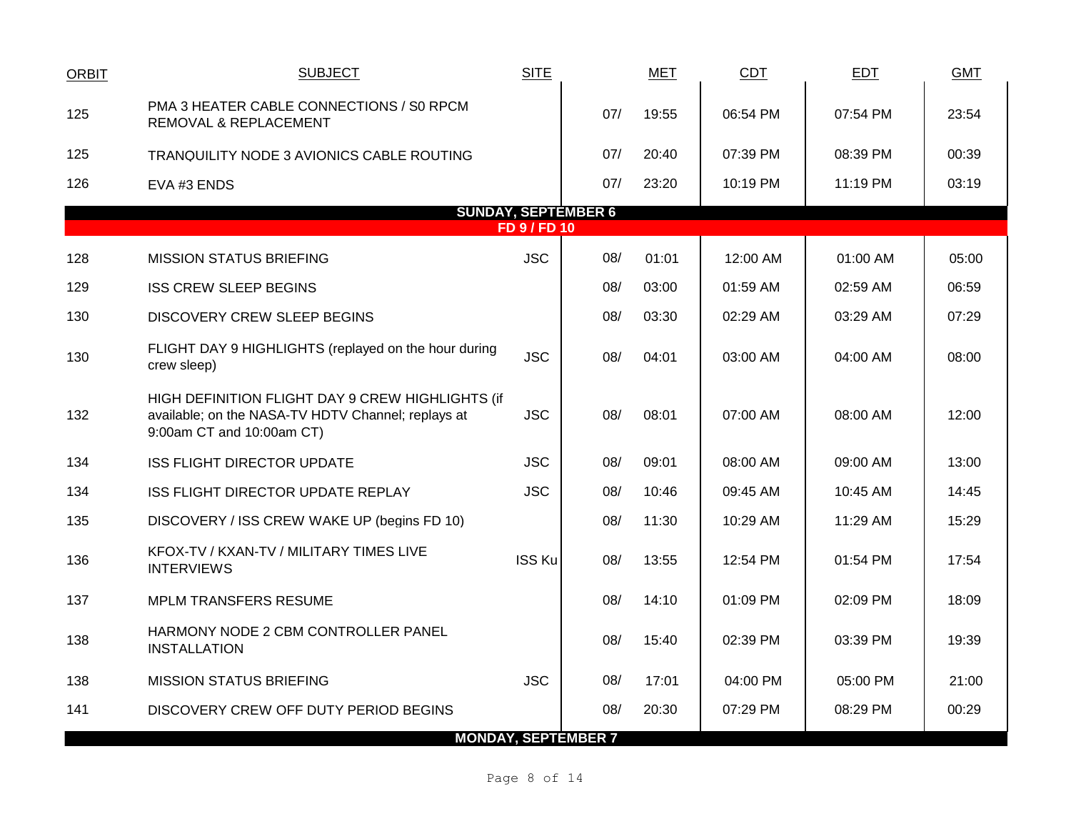| <b>ORBIT</b>                                      | <b>SUBJECT</b>                                                                                                                      | <b>SITE</b>   |                            | <b>MET</b> | <b>CDT</b> | EDT      | <b>GMT</b> |  |  |  |  |  |
|---------------------------------------------------|-------------------------------------------------------------------------------------------------------------------------------------|---------------|----------------------------|------------|------------|----------|------------|--|--|--|--|--|
| 125                                               | PMA 3 HEATER CABLE CONNECTIONS / S0 RPCM<br><b>REMOVAL &amp; REPLACEMENT</b>                                                        |               | 07/                        | 19:55      | 06:54 PM   | 07:54 PM | 23:54      |  |  |  |  |  |
| 125                                               | TRANQUILITY NODE 3 AVIONICS CABLE ROUTING                                                                                           |               | 07/                        | 20:40      | 07:39 PM   | 08:39 PM | 00:39      |  |  |  |  |  |
| 126                                               | EVA #3 ENDS                                                                                                                         |               | 07/                        | 23:20      | 10:19 PM   | 11:19 PM | 03:19      |  |  |  |  |  |
| <b>SUNDAY, SEPTEMBER 6</b><br><b>FD 9 / FD 10</b> |                                                                                                                                     |               |                            |            |            |          |            |  |  |  |  |  |
|                                                   | <b>MISSION STATUS BRIEFING</b>                                                                                                      | <b>JSC</b>    | 08/                        | 01:01      | 12:00 AM   | 01:00 AM | 05:00      |  |  |  |  |  |
| 128                                               |                                                                                                                                     |               |                            |            |            |          |            |  |  |  |  |  |
| 129                                               | <b>ISS CREW SLEEP BEGINS</b>                                                                                                        |               | 08/                        | 03:00      | 01:59 AM   | 02:59 AM | 06:59      |  |  |  |  |  |
| 130                                               | <b>DISCOVERY CREW SLEEP BEGINS</b>                                                                                                  |               | 08/                        | 03:30      | 02:29 AM   | 03:29 AM | 07:29      |  |  |  |  |  |
| 130                                               | FLIGHT DAY 9 HIGHLIGHTS (replayed on the hour during<br>crew sleep)                                                                 | <b>JSC</b>    | 08/                        | 04:01      | 03:00 AM   | 04:00 AM | 08:00      |  |  |  |  |  |
| 132                                               | HIGH DEFINITION FLIGHT DAY 9 CREW HIGHLIGHTS (if<br>available; on the NASA-TV HDTV Channel; replays at<br>9:00am CT and 10:00am CT) | <b>JSC</b>    | 08/                        | 08:01      | 07:00 AM   | 08:00 AM | 12:00      |  |  |  |  |  |
| 134                                               | <b>ISS FLIGHT DIRECTOR UPDATE</b>                                                                                                   | <b>JSC</b>    | 08/                        | 09:01      | 08:00 AM   | 09:00 AM | 13:00      |  |  |  |  |  |
| 134                                               | ISS FLIGHT DIRECTOR UPDATE REPLAY                                                                                                   | <b>JSC</b>    | 08/                        | 10:46      | 09:45 AM   | 10:45 AM | 14:45      |  |  |  |  |  |
| 135                                               | DISCOVERY / ISS CREW WAKE UP (begins FD 10)                                                                                         |               | 08/                        | 11:30      | 10:29 AM   | 11:29 AM | 15:29      |  |  |  |  |  |
| 136                                               | KFOX-TV / KXAN-TV / MILITARY TIMES LIVE<br><b>INTERVIEWS</b>                                                                        | <b>ISS Ku</b> | 08/                        | 13:55      | 12:54 PM   | 01:54 PM | 17:54      |  |  |  |  |  |
| 137                                               | <b>MPLM TRANSFERS RESUME</b>                                                                                                        |               | 08/                        | 14:10      | 01:09 PM   | 02:09 PM | 18:09      |  |  |  |  |  |
| 138                                               | HARMONY NODE 2 CBM CONTROLLER PANEL<br><b>INSTALLATION</b>                                                                          |               | 08/                        | 15:40      | 02:39 PM   | 03:39 PM | 19:39      |  |  |  |  |  |
| 138                                               | <b>MISSION STATUS BRIEFING</b>                                                                                                      | <b>JSC</b>    | 08/                        | 17:01      | 04:00 PM   | 05:00 PM | 21:00      |  |  |  |  |  |
| 141                                               | DISCOVERY CREW OFF DUTY PERIOD BEGINS                                                                                               |               | 08/                        | 20:30      | 07:29 PM   | 08:29 PM | 00:29      |  |  |  |  |  |
|                                                   |                                                                                                                                     |               | <b>MONDAY, SEPTEMBER 7</b> |            |            |          |            |  |  |  |  |  |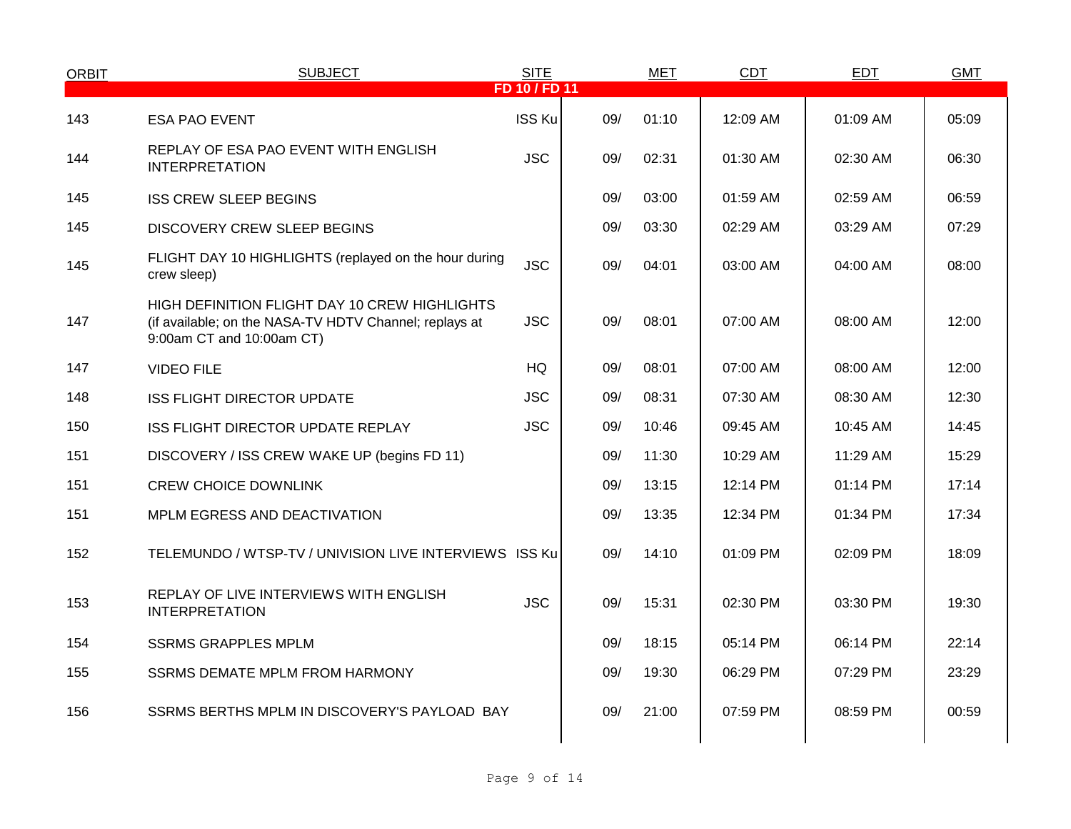| <b>ORBIT</b> | <b>SUBJECT</b>                                                                                                                       | <b>SITE</b>   |     | <b>MET</b> | <b>CDT</b> | <b>EDT</b> | <b>GMT</b> |
|--------------|--------------------------------------------------------------------------------------------------------------------------------------|---------------|-----|------------|------------|------------|------------|
|              |                                                                                                                                      | FD 10 / FD 11 |     |            |            |            |            |
| 143          | <b>ESA PAO EVENT</b>                                                                                                                 | <b>ISS Ku</b> | 09/ | 01:10      | 12:09 AM   | 01:09 AM   | 05:09      |
| 144          | REPLAY OF ESA PAO EVENT WITH ENGLISH<br><b>INTERPRETATION</b>                                                                        | <b>JSC</b>    | 09/ | 02:31      | 01:30 AM   | 02:30 AM   | 06:30      |
| 145          | <b>ISS CREW SLEEP BEGINS</b>                                                                                                         |               | 09/ | 03:00      | 01:59 AM   | 02:59 AM   | 06:59      |
| 145          | DISCOVERY CREW SLEEP BEGINS                                                                                                          |               | 09/ | 03:30      | 02:29 AM   | 03:29 AM   | 07:29      |
| 145          | FLIGHT DAY 10 HIGHLIGHTS (replayed on the hour during<br>crew sleep)                                                                 | <b>JSC</b>    | 09/ | 04:01      | 03:00 AM   | 04:00 AM   | 08:00      |
| 147          | HIGH DEFINITION FLIGHT DAY 10 CREW HIGHLIGHTS<br>(if available; on the NASA-TV HDTV Channel; replays at<br>9:00am CT and 10:00am CT) | <b>JSC</b>    | 09/ | 08:01      | 07:00 AM   | 08:00 AM   | 12:00      |
| 147          | <b>VIDEO FILE</b>                                                                                                                    | HQ            | 09/ | 08:01      | 07:00 AM   | 08:00 AM   | 12:00      |
| 148          | ISS FLIGHT DIRECTOR UPDATE                                                                                                           | <b>JSC</b>    | 09/ | 08:31      | 07:30 AM   | 08:30 AM   | 12:30      |
| 150          | ISS FLIGHT DIRECTOR UPDATE REPLAY                                                                                                    | <b>JSC</b>    | 09/ | 10:46      | 09:45 AM   | 10:45 AM   | 14:45      |
| 151          | DISCOVERY / ISS CREW WAKE UP (begins FD 11)                                                                                          |               | 09/ | 11:30      | 10:29 AM   | 11:29 AM   | 15:29      |
| 151          | <b>CREW CHOICE DOWNLINK</b>                                                                                                          |               | 09/ | 13:15      | 12:14 PM   | 01:14 PM   | 17:14      |
| 151          | MPLM EGRESS AND DEACTIVATION                                                                                                         |               | 09/ | 13:35      | 12:34 PM   | 01:34 PM   | 17:34      |
| 152          | TELEMUNDO / WTSP-TV / UNIVISION LIVE INTERVIEWS ISS Ku                                                                               |               | 09/ | 14:10      | 01:09 PM   | 02:09 PM   | 18:09      |
| 153          | REPLAY OF LIVE INTERVIEWS WITH ENGLISH<br><b>INTERPRETATION</b>                                                                      | <b>JSC</b>    | 09/ | 15:31      | 02:30 PM   | 03:30 PM   | 19:30      |
| 154          | <b>SSRMS GRAPPLES MPLM</b>                                                                                                           |               | 09/ | 18:15      | 05:14 PM   | 06:14 PM   | 22:14      |
| 155          | <b>SSRMS DEMATE MPLM FROM HARMONY</b>                                                                                                |               | 09/ | 19:30      | 06:29 PM   | 07:29 PM   | 23:29      |
| 156          | SSRMS BERTHS MPLM IN DISCOVERY'S PAYLOAD BAY                                                                                         |               | 09/ | 21:00      | 07:59 PM   | 08:59 PM   | 00:59      |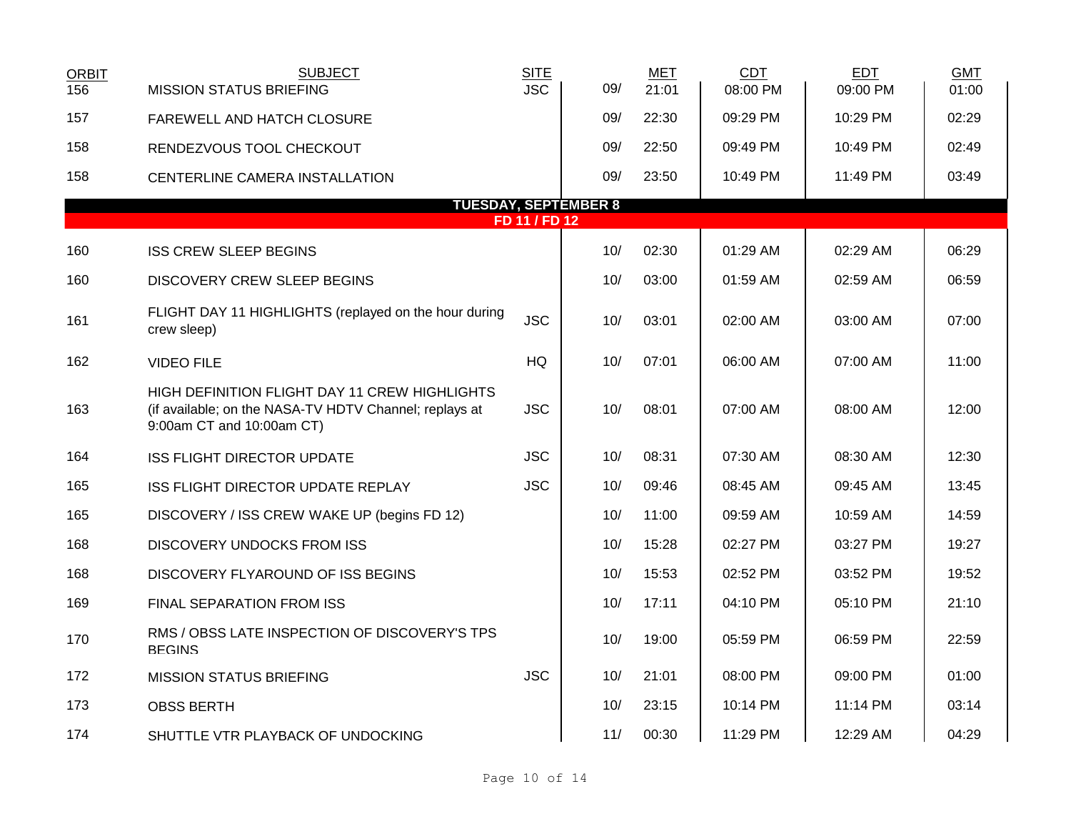| <b>ORBIT</b><br>156 | <b>SUBJECT</b><br><b>MISSION STATUS BRIEFING</b>                                                                                     | <b>SITE</b><br><b>JSC</b> | 09/                         | <b>MET</b><br>21:01 | <b>CDT</b><br>08:00 PM | <b>EDT</b><br>09:00 PM | <b>GMT</b><br>01:00 |
|---------------------|--------------------------------------------------------------------------------------------------------------------------------------|---------------------------|-----------------------------|---------------------|------------------------|------------------------|---------------------|
| 157                 | FAREWELL AND HATCH CLOSURE                                                                                                           |                           | 09/                         | 22:30               | 09:29 PM               | 10:29 PM               | 02:29               |
| 158                 | RENDEZVOUS TOOL CHECKOUT                                                                                                             |                           | 09/                         | 22:50               | 09:49 PM               | 10:49 PM               | 02:49               |
| 158                 | CENTERLINE CAMERA INSTALLATION                                                                                                       |                           | 09/                         | 23:50               | 10:49 PM               | 11:49 PM               | 03:49               |
|                     |                                                                                                                                      |                           | <b>TUESDAY, SEPTEMBER 8</b> |                     |                        |                        |                     |
|                     |                                                                                                                                      | FD 11 / FD 12             |                             |                     |                        |                        |                     |
| 160                 | <b>ISS CREW SLEEP BEGINS</b>                                                                                                         |                           | 10/                         | 02:30               | 01:29 AM               | 02:29 AM               | 06:29               |
| 160                 | <b>DISCOVERY CREW SLEEP BEGINS</b>                                                                                                   |                           | 10/                         | 03:00               | 01:59 AM               | 02:59 AM               | 06:59               |
| 161                 | FLIGHT DAY 11 HIGHLIGHTS (replayed on the hour during<br>crew sleep)                                                                 | <b>JSC</b>                | 10/                         | 03:01               | 02:00 AM               | 03:00 AM               | 07:00               |
| 162                 | <b>VIDEO FILE</b>                                                                                                                    | HQ                        | 10/                         | 07:01               | 06:00 AM               | 07:00 AM               | 11:00               |
| 163                 | HIGH DEFINITION FLIGHT DAY 11 CREW HIGHLIGHTS<br>(if available; on the NASA-TV HDTV Channel; replays at<br>9:00am CT and 10:00am CT) | <b>JSC</b>                | 10/                         | 08:01               | 07:00 AM               | 08:00 AM               | 12:00               |
| 164                 | <b>ISS FLIGHT DIRECTOR UPDATE</b>                                                                                                    | <b>JSC</b>                | 10/                         | 08:31               | 07:30 AM               | 08:30 AM               | 12:30               |
| 165                 | <b>ISS FLIGHT DIRECTOR UPDATE REPLAY</b>                                                                                             | <b>JSC</b>                | 10/                         | 09:46               | 08:45 AM               | 09:45 AM               | 13:45               |
| 165                 | DISCOVERY / ISS CREW WAKE UP (begins FD 12)                                                                                          |                           | 10/                         | 11:00               | 09:59 AM               | 10:59 AM               | 14:59               |
| 168                 | <b>DISCOVERY UNDOCKS FROM ISS</b>                                                                                                    |                           | 10/                         | 15:28               | 02:27 PM               | 03:27 PM               | 19:27               |
| 168                 | DISCOVERY FLYAROUND OF ISS BEGINS                                                                                                    |                           | 10/                         | 15:53               | 02:52 PM               | 03:52 PM               | 19:52               |
| 169                 | FINAL SEPARATION FROM ISS                                                                                                            |                           | 10/                         | 17:11               | 04:10 PM               | 05:10 PM               | 21:10               |
| 170                 | RMS / OBSS LATE INSPECTION OF DISCOVERY'S TPS<br><b>BEGINS</b>                                                                       |                           | 10/                         | 19:00               | 05:59 PM               | 06:59 PM               | 22:59               |
| 172                 | <b>MISSION STATUS BRIEFING</b>                                                                                                       | <b>JSC</b>                | 10/                         | 21:01               | 08:00 PM               | 09:00 PM               | 01:00               |
| 173                 | <b>OBSS BERTH</b>                                                                                                                    |                           | 10/                         | 23:15               | 10:14 PM               | 11:14 PM               | 03:14               |
| 174                 | SHUTTLE VTR PLAYBACK OF UNDOCKING                                                                                                    |                           | 11/                         | 00:30               | 11:29 PM               | 12:29 AM               | 04:29               |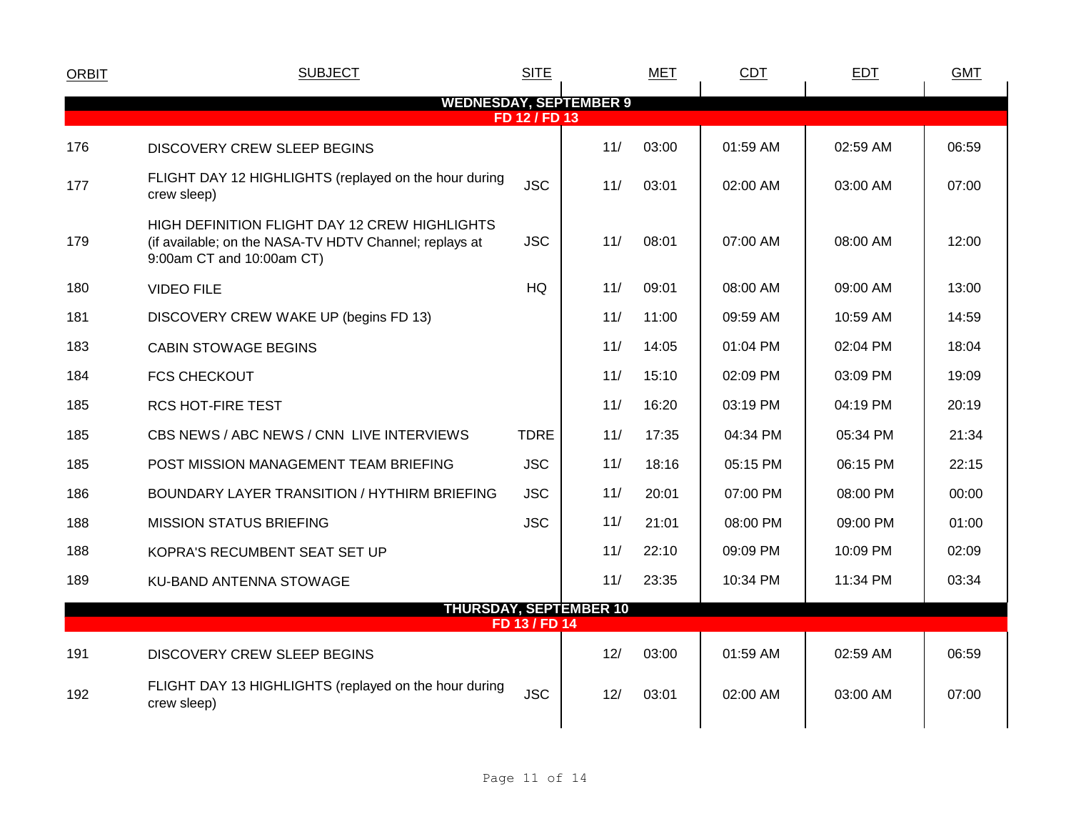| <b>ORBIT</b>                                   | <b>SUBJECT</b>                                                                                                                       | <b>SITE</b>   |                               | <b>MET</b> | <b>CDT</b> | <b>EDT</b> | <b>GMT</b> |  |  |  |  |
|------------------------------------------------|--------------------------------------------------------------------------------------------------------------------------------------|---------------|-------------------------------|------------|------------|------------|------------|--|--|--|--|
| <b>WEDNESDAY, SEPTEMBER 9</b><br>FD 12 / FD 13 |                                                                                                                                      |               |                               |            |            |            |            |  |  |  |  |
| 176                                            | DISCOVERY CREW SLEEP BEGINS                                                                                                          |               | 11/                           | 03:00      | 01:59 AM   | 02:59 AM   | 06:59      |  |  |  |  |
| 177                                            | FLIGHT DAY 12 HIGHLIGHTS (replayed on the hour during<br>crew sleep)                                                                 | <b>JSC</b>    | 11/                           | 03:01      | 02:00 AM   | 03:00 AM   | 07:00      |  |  |  |  |
| 179                                            | HIGH DEFINITION FLIGHT DAY 12 CREW HIGHLIGHTS<br>(if available; on the NASA-TV HDTV Channel; replays at<br>9:00am CT and 10:00am CT) | <b>JSC</b>    | 11/                           | 08:01      | 07:00 AM   | 08:00 AM   | 12:00      |  |  |  |  |
| 180                                            | <b>VIDEO FILE</b>                                                                                                                    | <b>HQ</b>     | 11/                           | 09:01      | 08:00 AM   | 09:00 AM   | 13:00      |  |  |  |  |
| 181                                            | DISCOVERY CREW WAKE UP (begins FD 13)                                                                                                |               | 11/                           | 11:00      | 09:59 AM   | 10:59 AM   | 14:59      |  |  |  |  |
| 183                                            | <b>CABIN STOWAGE BEGINS</b>                                                                                                          |               | 11/                           | 14:05      | 01:04 PM   | 02:04 PM   | 18:04      |  |  |  |  |
| 184                                            | <b>FCS CHECKOUT</b>                                                                                                                  |               | 11/                           | 15:10      | 02:09 PM   | 03:09 PM   | 19:09      |  |  |  |  |
| 185                                            | <b>RCS HOT-FIRE TEST</b>                                                                                                             |               | 11/                           | 16:20      | 03:19 PM   | 04:19 PM   | 20:19      |  |  |  |  |
| 185                                            | CBS NEWS / ABC NEWS / CNN LIVE INTERVIEWS                                                                                            | <b>TDRE</b>   | 11/                           | 17:35      | 04:34 PM   | 05:34 PM   | 21:34      |  |  |  |  |
| 185                                            | POST MISSION MANAGEMENT TEAM BRIEFING                                                                                                | <b>JSC</b>    | 11/                           | 18:16      | 05:15 PM   | 06:15 PM   | 22:15      |  |  |  |  |
| 186                                            | BOUNDARY LAYER TRANSITION / HYTHIRM BRIEFING                                                                                         | <b>JSC</b>    | 11/                           | 20:01      | 07:00 PM   | 08:00 PM   | 00:00      |  |  |  |  |
| 188                                            | <b>MISSION STATUS BRIEFING</b>                                                                                                       | <b>JSC</b>    | 11/                           | 21:01      | 08:00 PM   | 09:00 PM   | 01:00      |  |  |  |  |
| 188                                            | KOPRA'S RECUMBENT SEAT SET UP                                                                                                        |               | 11/                           | 22:10      | 09:09 PM   | 10:09 PM   | 02:09      |  |  |  |  |
| 189                                            | KU-BAND ANTENNA STOWAGE                                                                                                              |               | 11/                           | 23:35      | 10:34 PM   | 11:34 PM   | 03:34      |  |  |  |  |
|                                                |                                                                                                                                      | FD 13 / FD 14 | <b>THURSDAY, SEPTEMBER 10</b> |            |            |            |            |  |  |  |  |
| 191                                            |                                                                                                                                      |               | 12/                           | 03:00      | 01:59 AM   | 02:59 AM   | 06:59      |  |  |  |  |
|                                                | DISCOVERY CREW SLEEP BEGINS                                                                                                          |               |                               |            |            |            |            |  |  |  |  |
| 192                                            | FLIGHT DAY 13 HIGHLIGHTS (replayed on the hour during<br>crew sleep)                                                                 | <b>JSC</b>    | 12/                           | 03:01      | 02:00 AM   | 03:00 AM   | 07:00      |  |  |  |  |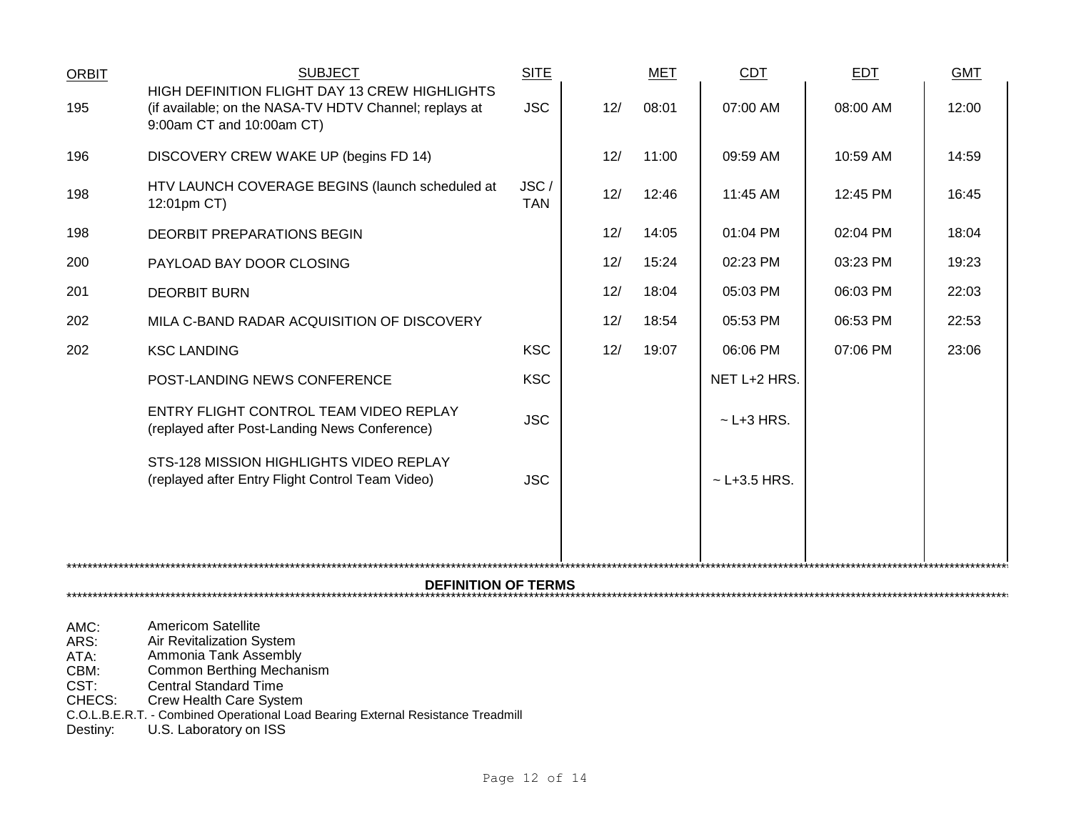| ORBIT                                | <b>SUBJECT</b>                                                                                                                               | <b>SITE</b>        |     | MET   | <b>CDT</b>        | EDT      | <b>GMT</b> |  |
|--------------------------------------|----------------------------------------------------------------------------------------------------------------------------------------------|--------------------|-----|-------|-------------------|----------|------------|--|
| 195                                  | HIGH DEFINITION FLIGHT DAY 13 CREW HIGHLIGHTS<br>(if available; on the NASA-TV HDTV Channel; replays at<br>9:00am CT and 10:00am CT)         | <b>JSC</b>         | 12/ | 08:01 | 07:00 AM          | 08:00 AM | 12:00      |  |
| 196                                  | DISCOVERY CREW WAKE UP (begins FD 14)                                                                                                        |                    | 12/ | 11:00 | 09:59 AM          | 10:59 AM | 14:59      |  |
| 198                                  | HTV LAUNCH COVERAGE BEGINS (launch scheduled at<br>12:01pm CT)                                                                               | JSC/<br><b>TAN</b> | 12/ | 12:46 | 11:45 AM          | 12:45 PM | 16:45      |  |
| 198                                  | DEORBIT PREPARATIONS BEGIN                                                                                                                   |                    | 12/ | 14:05 | 01:04 PM          | 02:04 PM | 18:04      |  |
| 200                                  | PAYLOAD BAY DOOR CLOSING                                                                                                                     |                    | 12/ | 15:24 | 02:23 PM          | 03:23 PM | 19:23      |  |
| 201                                  | <b>DEORBIT BURN</b>                                                                                                                          |                    | 12/ | 18:04 | 05:03 PM          | 06:03 PM | 22:03      |  |
| 202                                  | MILA C-BAND RADAR ACQUISITION OF DISCOVERY                                                                                                   |                    | 12/ | 18:54 | 05:53 PM          | 06:53 PM | 22:53      |  |
| 202                                  | <b>KSC LANDING</b>                                                                                                                           | <b>KSC</b>         | 12/ | 19:07 | 06:06 PM          | 07:06 PM | 23:06      |  |
|                                      | POST-LANDING NEWS CONFERENCE                                                                                                                 | <b>KSC</b>         |     |       | NET L+2 HRS.      |          |            |  |
|                                      | ENTRY FLIGHT CONTROL TEAM VIDEO REPLAY<br>(replayed after Post-Landing News Conference)                                                      | <b>JSC</b>         |     |       | $\sim$ L+3 HRS.   |          |            |  |
|                                      | STS-128 MISSION HIGHLIGHTS VIDEO REPLAY<br>(replayed after Entry Flight Control Team Video)                                                  | <b>JSC</b>         |     |       | $\sim$ L+3.5 HRS. |          |            |  |
|                                      |                                                                                                                                              |                    |     |       |                   |          |            |  |
|                                      | <b>DEFINITION OF TERMS</b><br>************************************                                                                           |                    |     |       |                   |          |            |  |
| AMC:<br>ARS:<br>ATA:<br>CBM:<br>CST: | <b>Americom Satellite</b><br>Air Revitalization System<br>Ammonia Tank Assembly<br>Common Berthing Mechanism<br><b>Central Standard Time</b> |                    |     |       |                   |          |            |  |

CHECS: Crew Health Care System

C.O.L.B.E.R.T. - Combined Operational Load Bearing External Resistance Treadmill

Destiny: U.S. Laboratory on ISS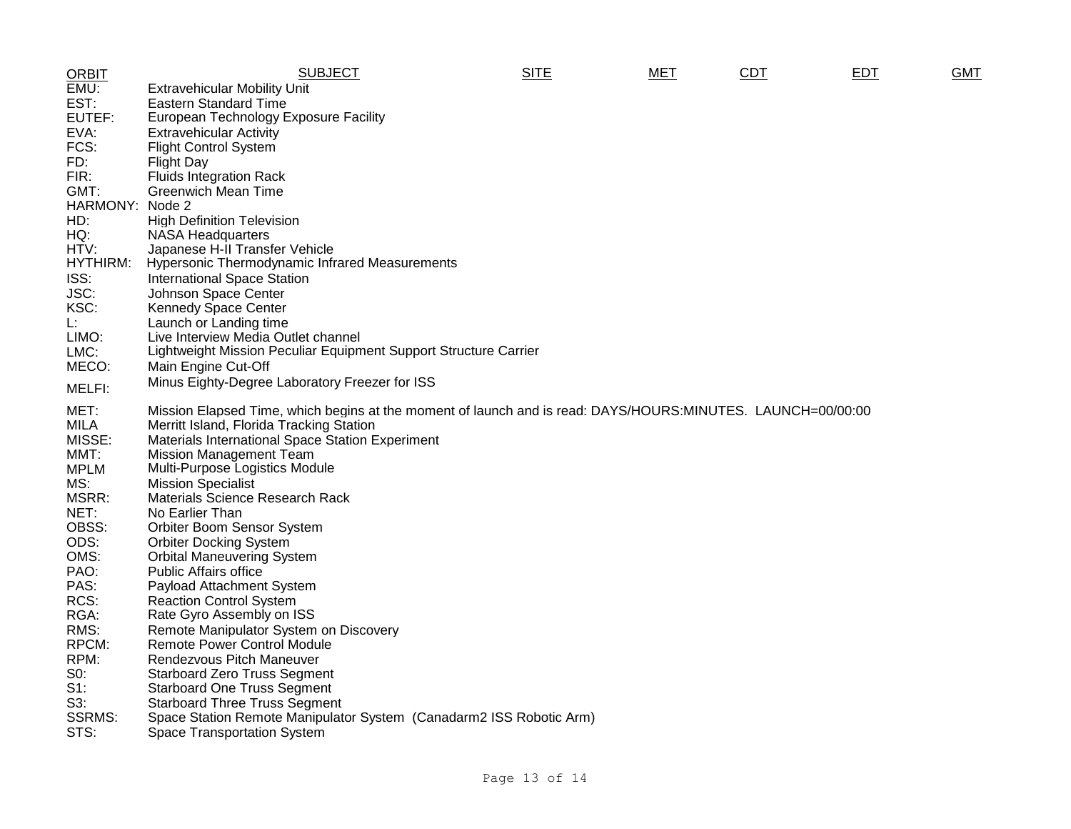| <b>ORBIT</b>  | <b>SUBJECT</b>                                                                                              | <b>SITE</b> | <b>MET</b> | <b>CDT</b> | <b>EDT</b> | <b>GMT</b> |
|---------------|-------------------------------------------------------------------------------------------------------------|-------------|------------|------------|------------|------------|
| EMU:          | <b>Extravehicular Mobility Unit</b>                                                                         |             |            |            |            |            |
| EST:          | <b>Eastern Standard Time</b>                                                                                |             |            |            |            |            |
| EUTEF:        | European Technology Exposure Facility                                                                       |             |            |            |            |            |
| EVA:          | <b>Extravehicular Activity</b>                                                                              |             |            |            |            |            |
| FCS:          | <b>Flight Control System</b>                                                                                |             |            |            |            |            |
| FD:           | <b>Flight Day</b>                                                                                           |             |            |            |            |            |
| FIR:          | <b>Fluids Integration Rack</b>                                                                              |             |            |            |            |            |
| GMT:          | <b>Greenwich Mean Time</b>                                                                                  |             |            |            |            |            |
| HARMONY:      | Node 2                                                                                                      |             |            |            |            |            |
| HD:           | <b>High Definition Television</b>                                                                           |             |            |            |            |            |
| HQ:           | <b>NASA Headquarters</b>                                                                                    |             |            |            |            |            |
| HTV:          | Japanese H-II Transfer Vehicle                                                                              |             |            |            |            |            |
| HYTHIRM:      | Hypersonic Thermodynamic Infrared Measurements                                                              |             |            |            |            |            |
| ISS:          | <b>International Space Station</b>                                                                          |             |            |            |            |            |
| JSC:          | Johnson Space Center                                                                                        |             |            |            |            |            |
| KSC:          | Kennedy Space Center                                                                                        |             |            |            |            |            |
| L.            |                                                                                                             |             |            |            |            |            |
| LIMO:         | Launch or Landing time<br>Live Interview Media Outlet channel                                               |             |            |            |            |            |
| LMC:          | Lightweight Mission Peculiar Equipment Support Structure Carrier                                            |             |            |            |            |            |
| MECO:         |                                                                                                             |             |            |            |            |            |
|               | Main Engine Cut-Off                                                                                         |             |            |            |            |            |
| MELFI:        | Minus Eighty-Degree Laboratory Freezer for ISS                                                              |             |            |            |            |            |
| MET:          | Mission Elapsed Time, which begins at the moment of launch and is read: DAYS/HOURS:MINUTES. LAUNCH=00/00:00 |             |            |            |            |            |
| <b>MILA</b>   | Merritt Island, Florida Tracking Station                                                                    |             |            |            |            |            |
| MISSE:        | Materials International Space Station Experiment                                                            |             |            |            |            |            |
| MMT:          | <b>Mission Management Team</b>                                                                              |             |            |            |            |            |
| <b>MPLM</b>   | Multi-Purpose Logistics Module                                                                              |             |            |            |            |            |
| MS:           | <b>Mission Specialist</b>                                                                                   |             |            |            |            |            |
| MSRR:         | Materials Science Research Rack                                                                             |             |            |            |            |            |
| NET:          | No Earlier Than                                                                                             |             |            |            |            |            |
| OBSS:         | Orbiter Boom Sensor System                                                                                  |             |            |            |            |            |
| ODS:          | <b>Orbiter Docking System</b>                                                                               |             |            |            |            |            |
| OMS:          | <b>Orbital Maneuvering System</b>                                                                           |             |            |            |            |            |
| PAO:          | <b>Public Affairs office</b>                                                                                |             |            |            |            |            |
| PAS:          | Payload Attachment System                                                                                   |             |            |            |            |            |
| RCS:          | <b>Reaction Control System</b>                                                                              |             |            |            |            |            |
| RGA:          | Rate Gyro Assembly on ISS                                                                                   |             |            |            |            |            |
| RMS:          | Remote Manipulator System on Discovery                                                                      |             |            |            |            |            |
| RPCM:         | <b>Remote Power Control Module</b>                                                                          |             |            |            |            |            |
| RPM:          | Rendezvous Pitch Maneuver                                                                                   |             |            |            |            |            |
| S0:           | <b>Starboard Zero Truss Segment</b>                                                                         |             |            |            |            |            |
| $S1$ :        | <b>Starboard One Truss Segment</b>                                                                          |             |            |            |            |            |
| $S3$ :        | <b>Starboard Three Truss Segment</b>                                                                        |             |            |            |            |            |
| <b>SSRMS:</b> | Space Station Remote Manipulator System (Canadarm2 ISS Robotic Arm)                                         |             |            |            |            |            |
| STS:          | <b>Space Transportation System</b>                                                                          |             |            |            |            |            |
|               |                                                                                                             |             |            |            |            |            |